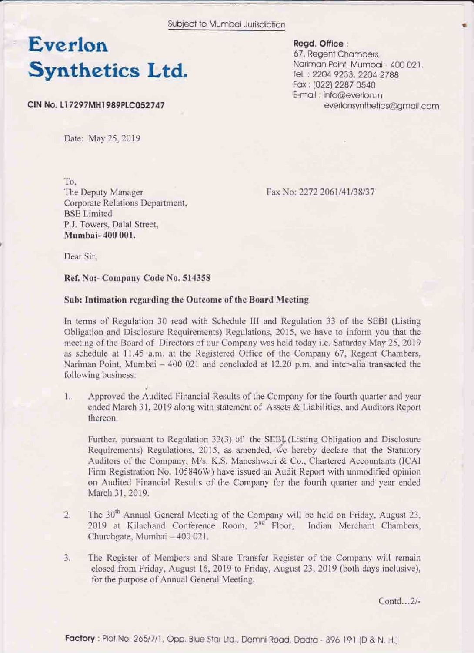# Everlon **Synthetics Ltd.**

CIN No. L17297MH1989PLC052747

Read. Office: 67, Regent Chambers, Nariman Point, Mumbai - 400 021. Tel.: 2204 9233, 2204 2788 Fax: (022) 2287 0540 E-mail: info@everion.in everlonsynthetics@amail.com

Date: May 25, 2019

To.

The Deputy Manager Corporate Relations Department. **BSE** Limited P.J. Towers, Dalal Street. Mumbai-400 001.

Fax No: 2272 2061/41/38/37

Dear Sir.

Ref. No:- Company Code No. 514358

### Sub: Intimation regarding the Outcome of the Board Meeting

In terms of Regulation 30 read with Schedule III and Regulation 33 of the SEBI (Listing Obligation and Disclosure Requirements) Regulations, 2015, we have to inform you that the meeting of the Board of Directors of our Company was held today i.e. Saturday May 25, 2019 as schedule at 11.45 a.m. at the Registered Office of the Company 67, Regent Chambers, Nariman Point, Mumbai - 400 021 and concluded at 12.20 p.m. and inter-alia transacted the following business:

 $1.$ Approved the Audited Financial Results of the Company for the fourth quarter and year ended March 31, 2019 along with statement of Assets & Liabilities, and Auditors Report thereon.

Further, pursuant to Regulation 33(3) of the SEBL (Listing Obligation and Disclosure Requirements) Regulations, 2015, as amended, we hereby declare that the Statutory Auditors of the Company, M/s. K.S. Maheshwari & Co., Chartered Accountants (ICAI Firm Registration No. 105846W) have issued an Audit Report with unmodified opinion on Audited Financial Results of the Company for the fourth quarter and year ended March 31, 2019.

- The 30<sup>th</sup> Annual General Meeting of the Company will be held on Friday, August 23,  $\overline{2}$ . 2019 at Kilachand Conference Room, 2<sup>nd</sup> Floor, Indian Merchant Chambers, Churchgate, Mumbai - 400 021.
- $3.$ The Register of Members and Share Transfer Register of the Company will remain closed from Friday, August 16, 2019 to Friday, August 23, 2019 (both days inclusive), for the purpose of Annual General Meeting.

Contd...2/-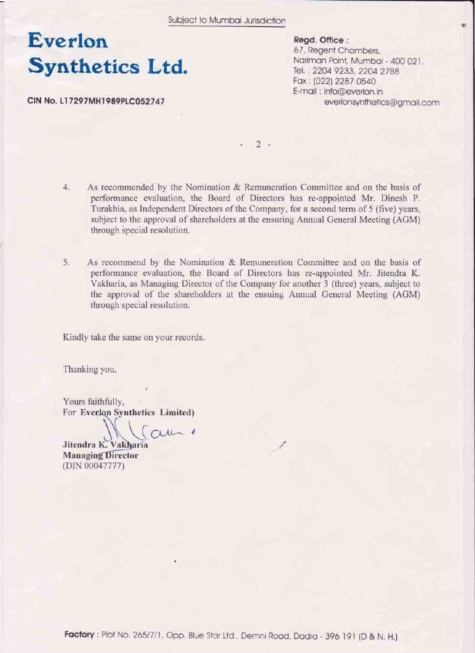## Everlon **Synthetics Ltd.**

CIN No. L17297MH1989PLC052747

Regd. Office: 67, Regent Chambers. Natiman Point, Mumbai - 400 021. Tel.: 2204 9233, 2204 2788 Fax: (022) 2287 0540 E-mail: info@everlon.in everlonsynthetics@gmail.com

 $\sqrt{2}$  =

- $4.$ As recommended by the Nomination & Remuneration Committee and on the basis of performance evaluation, the Board of Directors has re-appointed Mr. Dinesh P. Turakhia, as Independent Directors of the Company, for a second term of 5 (five) years, subject to the approval of shareholders at the ensuring Annual General Meeting (AGM) through special resolution.
- 5. As recommend by the Nomination & Remuneration Committee and on the basis of performance evaluation, the Board of Directors has re-appointed Mr. Jitendra K. Vakharia, as Managing Director of the Company for another 3 (three) years, subject to the approval of the shareholders at the ensuing Annual General Meeting (AGM) through special resolution.

Kindly take the same on your records.

Thanking you,

Yours faithfully. For Everlon Synthetics Limited)

 $CUL-1$ 

Jitendra K. Vakharia **Managing Director** (DIN 00047777)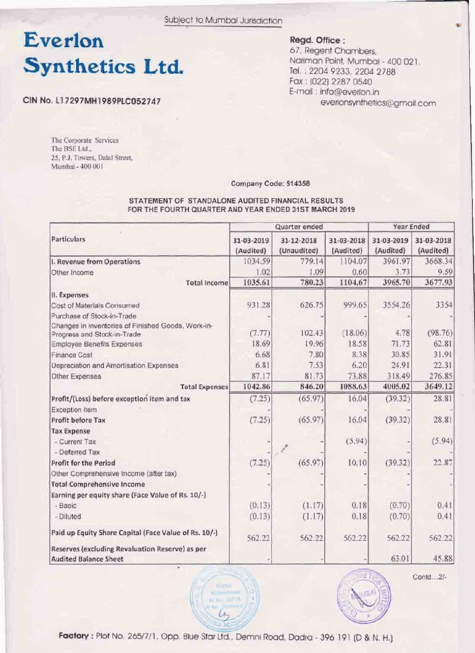# Everlon **Synthetics Ltd.**

Regd. Office:

67, Regent Chambers, Natiman Point, Mumbai - 400 021. Tel.: 2204 9233, 2204 2788 Fax: (022) 2287 0540 E-mail: info@everlon.in everionsynthetics@gmail.com

CIN No. L17297MH1989PLC052747

The Corporate Services The BSE Ltd., 25, P.J. Towers, Dalal Street, Mumbai - 400 001

Company Code: 514358

#### STATEMENT OF STANDALONE AUDITED FINANCIAL RESULTS FOR THE FOURTH QUARTER AND YEAR ENDED 31ST MARCH 2019

|                                                                                   | Quarter ended           |                           |                         | Year Ended              |                         |
|-----------------------------------------------------------------------------------|-------------------------|---------------------------|-------------------------|-------------------------|-------------------------|
| Particulars                                                                       | 31-03-2019<br>(Audited) | 31-12-2018<br>(Unaudited) | 31-03-2018<br>(Audited) | 31-03-2019<br>(Audited) | 31-03-2018<br>(Audited) |
| I. Revenue from Operations                                                        | 1034.59                 | 779.14                    | 1104.07                 | 3961.97                 | 3668.34                 |
| Other Income                                                                      | 1.02                    | 1.09                      | 0.60                    | 3.73                    | 9.59                    |
| <b>Total Income</b>                                                               | 1035.61                 | 780.23                    | 1104.67                 | 3965.70                 | 3677.93                 |
| II. Expenses                                                                      |                         |                           |                         |                         |                         |
| Cost of Materials Consumed                                                        | 931.28                  | 626.75                    | 999.65                  | 3554.26                 | 3354                    |
| Purchase of Stock-in-Trade                                                        |                         |                           |                         |                         |                         |
| Changes in inventories of Finished Goods, Work-in-<br>Progress and Stock-in-Trade | (7.77)                  | 102.43                    | (18.06)                 | 4.78                    | (98.76)                 |
| <b>Employee Benefits Expenses</b>                                                 | 18.69                   | 19.96                     | 18.58                   | 71.73                   | 62.81                   |
| Finance Cost                                                                      | 6.68                    | 7.80                      | 8.38                    | 30.85                   | 31.91                   |
| Depreciation and Amortisation Expenses                                            | 6.81                    | 7.53                      | 6.20                    | 24.91                   | 22.31                   |
| Other Expenses                                                                    | 87.17                   | 81.73                     | 73.88                   | 318.49                  | 276.85                  |
| <b>Total Expenses</b>                                                             | 1042.86                 | 846.20                    | 1088.63                 | 4005.02                 | 3649.12                 |
| Profit/(Loss) before exception item and tax                                       | (7.25)                  | (65.97)                   | 16.04                   | (39.32)                 | 28.81                   |
| Exception item                                                                    |                         |                           |                         |                         |                         |
| Profit before Tax                                                                 | (7.25)                  | (65.97)                   | 16.04                   | (39.32)                 | 28.81                   |
| <b>Tax Expense</b>                                                                |                         |                           |                         |                         |                         |
| - Current Tax                                                                     |                         |                           | (5.94)                  |                         | (5.94)                  |
| - Deferred Tax                                                                    |                         |                           |                         |                         |                         |
| Profit for the Period                                                             | (7.25)                  | (65.97)                   | 10.10                   | (39.32)                 | 22.87                   |
| Other Comprehensive Income (after tax)                                            |                         |                           |                         |                         |                         |
| <b>Total Comprehensive Income</b>                                                 |                         |                           |                         |                         |                         |
| Earning per equity share (Face Value of Rs. 10/-)                                 |                         |                           |                         |                         |                         |
| - Basic                                                                           | (0.13)                  | (1.17)                    | 0.18                    | (0.70)                  | 0.41                    |
| - Diluted                                                                         | (0.13)                  | (1.17)                    | 0.18                    | (0.70)                  | 0.41                    |
| Paid up Equity Share Capital (Face Value of Rs. 10/-)                             | 562,22                  | 562.22                    | 562.22                  | 562.22                  | 562.22                  |
| Reserves (excluding Revaluation Reserve) as per<br><b>Audited Balance Sheet</b>   |                         |                           |                         | 63.01                   | 45.88                   |



Contd...2/-

Factory: Plot No. 265/7/1, Opp. Blue Star Ltd., Demni Road, Dadra - 396 191 (D & N. H.)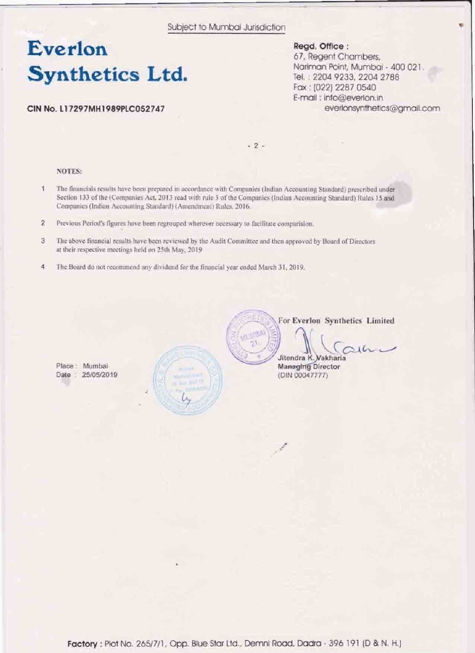### Everlon **Synthetics Ltd.**

### CIN No. L17297MH1989PLC052747

Regd. Office: 67. Regent Chambers, Nariman Point, Mumbai - 400 021 Tel.: 2204 9233, 2204 2788 Fax: (022) 2287 0540 E-mail ; info@everlon.in everlonsynthetics@gmail.com ÷

 $-2-$ 

#### **NOTES:**

Place: Mumbai

Date: 25/05/2019

- $\frac{1}{2}$ The financials results have been prepared in accordance with Companies (Indian Accounting Standard) prescribed ander Section 133 of the (Companies Act, 2013 read with rule 3 of the Companies (Indian Accounting Standard) Rules 15 and Companies (Indian Accounting Standard) (Amendment) Rules, 2016.
- $\overline{2}$ Previous Period's figures have been regrouped wherever necessary to facilitate comparision.
- $\overline{3}$ The above financial results have been reviewed by the Audit Committee and then approved by Board of Directors at their respective meetings held on 25th May, 2019
- $\frac{3}{4}$ The Board do not recommend any dividend for the financial year ended March 31, 2019.



For Everlon Synthetics Limited

 $164$ 

Jitendra K. Vakharia **Managing Director** (DIN 00047777)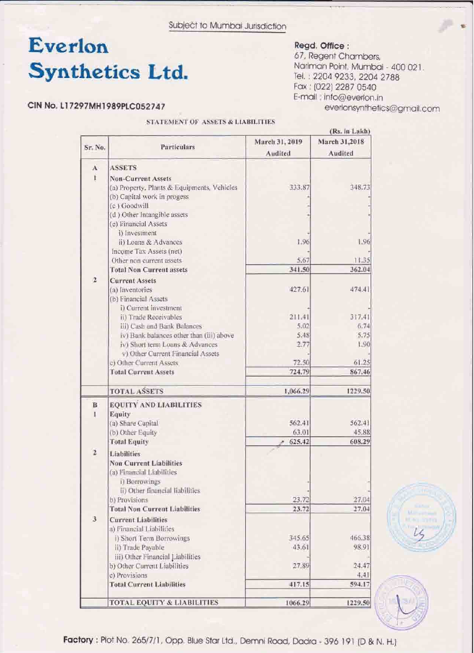# Everlon **Synthetics Ltd.**

### CIN No. L17297MH1989PLC052747

#### STATEMENT OF ASSETS & LIABILITIES

### Regd. Office :

67, Regent Chambers, Nariman Point, Mumbai - 400 021. Tel.: 2204 9233, 2204 2788 Fax: (022) 2287 0540 E-mail: info@everlon.in everlonsynthetics@gmail.com

|                                                                                                                                  |                                             | March 31, 2019 | (Rs. in Lakh)<br>March 31,2018 |
|----------------------------------------------------------------------------------------------------------------------------------|---------------------------------------------|----------------|--------------------------------|
| Sr. No.                                                                                                                          | Particulars                                 | Audited        | Audited                        |
| $\mathbf{A}$                                                                                                                     | <b>ASSETS</b>                               |                |                                |
| ī                                                                                                                                | <b>Nön-Current Assets</b>                   |                |                                |
|                                                                                                                                  |                                             | 333.87         | 348.73                         |
|                                                                                                                                  | (a) Property, Plants & Equipments, Vehicles |                |                                |
|                                                                                                                                  | (b) Capital work in progess<br>(c) Goodwill |                |                                |
|                                                                                                                                  | (d) Other Intangible assets                 |                |                                |
|                                                                                                                                  | (e) Financial Assets                        |                |                                |
|                                                                                                                                  | i) Investment                               |                |                                |
|                                                                                                                                  | ii) Loans & Advances                        | 1.96           | 1.96                           |
|                                                                                                                                  | Income Tax Assets (net)                     |                |                                |
|                                                                                                                                  | Other non current assets                    | 5.67           | 11.35                          |
|                                                                                                                                  | <b>Total Non Current assets</b>             | 341.50         | 362.04                         |
| $\overline{2}$                                                                                                                   |                                             |                |                                |
|                                                                                                                                  | <b>Current Assets</b>                       |                |                                |
|                                                                                                                                  | (a) Inventories                             | 427.61         | 474.41                         |
|                                                                                                                                  | (b) Financial Assets                        |                |                                |
|                                                                                                                                  | i) Current investment                       |                |                                |
|                                                                                                                                  | ii) Trade Receivables                       | 211.41         | 317.41                         |
|                                                                                                                                  | iii) Cash and Bank Balances                 | 5.02           | 6.74                           |
|                                                                                                                                  | iv) Bank balances other than (iii) above    | 5.48           | 5.75                           |
|                                                                                                                                  | iv) Short term Loans & Advances             | 2.77           | 1.90                           |
|                                                                                                                                  | v) Other Current Financial Assets           |                |                                |
| c) Other Current Assets<br><b>Total Current Assets</b><br><b>TOTAL ASSETS</b>                                                    |                                             | 72.50          | 61.25                          |
|                                                                                                                                  | 724.79                                      | 867.46         |                                |
|                                                                                                                                  | 1,066.29                                    | 1229.50        |                                |
| B                                                                                                                                | <b>EQUITY AND LIABILITIES</b>               |                |                                |
|                                                                                                                                  | Equity                                      |                |                                |
|                                                                                                                                  | (a) Share Capital                           | 562.41         | 562.41                         |
|                                                                                                                                  | (b) Other Equity                            | 63.01          | 45.88                          |
|                                                                                                                                  | <b>Total Equity</b>                         | 625.42         | 608.29                         |
| $\overline{2}$                                                                                                                   | Liabilities                                 |                |                                |
| <b>Non Current Liabilities</b><br>(a) Financial Liabilities<br>i) Borrowings<br>ii) Other financial liabilities<br>b) Provisions |                                             |                |                                |
|                                                                                                                                  |                                             |                |                                |
|                                                                                                                                  |                                             |                |                                |
|                                                                                                                                  |                                             |                |                                |
|                                                                                                                                  |                                             | 23.72          | 27.04                          |
|                                                                                                                                  | <b>Total Non Current Liabilities</b>        | 23.72          | 27.04                          |
| $\overline{\mathbf{3}}$                                                                                                          | <b>Current Liabilities</b>                  |                |                                |
|                                                                                                                                  | a) Financial Liabilities                    |                |                                |
|                                                                                                                                  | i) Short Term Borrowings                    | 345.65         | 466.38                         |
|                                                                                                                                  | ii) Trade Payable                           | 43.61          | 98.91                          |
|                                                                                                                                  | iii) Other Financial Liabilities            |                |                                |
|                                                                                                                                  | b) Other Current Liabilities                | 27.89          | 24.47                          |
|                                                                                                                                  | c) Provisions                               |                | 4.41                           |
|                                                                                                                                  | <b>Total Current Liabilities</b>            | 417.15         | 594.17                         |
|                                                                                                                                  |                                             |                |                                |
|                                                                                                                                  | TOTAL EQUITY & LIABILITIES                  | 1066.29        | 1229.50                        |



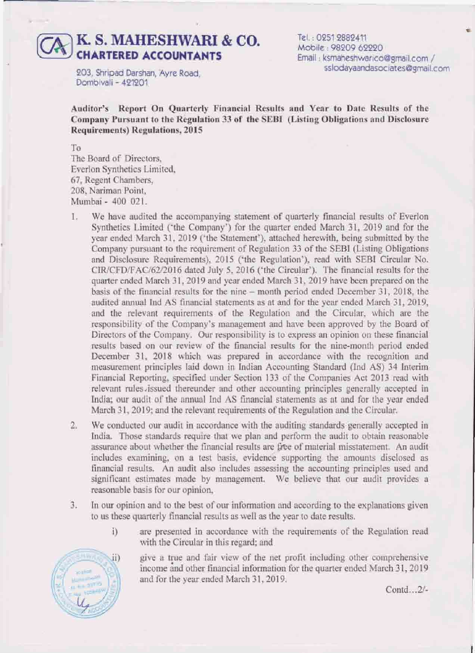### **K. s. MAHESHWARI** & *co.*  **CHARTERED ACCOUNTANTS**

Tel. **0951 9889411 Mobile** : **9S09 6aQ**  Email: ksmaheshwarico@gmail.com / sslodayaandasociates@gmail.com

*903,* **Shripd Darshan, Ayre Rod,**  Dombivali - **421201** 

Auditor's Report On Quarterly Financial Results and Year to Date Results of the **Company Pursuant to the Regulation 33 of the SEBI (Listing Obligations and Disclosure Requirements) Regulations, 2015** 

**To**  The Board of Directors, **Everion Synthetics Limited, 67, Regent Chambeis,**  208, Nariman Point, **Mumbai** - **400** 021.

- 1. We have audited the accompanying statement of quarterly financial results of Everlon  $S$ ynthetics Limited ('the Company') for the quarter ended March 31, 2019 and for the year ended March 31, 2019 ('the Statement'), attached herewith, being submitted by the **Campy** pursuaat **to the requirement of Regulation 33 of the SEBI (Listing Obligations**  and Disclosure Requirements), 2015 ('the Regulation'), read with SEBI Circular No.  $CIR/CFD/FAC/62/2016$  dated July 5, 2016 ('the Circular'). The financial results for the **quarter ended Mach 3 1,20 19 and year ended March 31,2019 haw been p~pmd on the basis of the financial results for the aine** - **month period ended December 31,2018, the audited** annual **Ind AS financial statements as at and for the year ended March 3 1,2019,**  and the relevant requirements of the Regulation and the Circular, which are the **responsibility of the Company's management and have been approved by** the Board **of Directors of the Company.** Our responsibility is to express an opinion on these financial  $r$  **results** based on our review of the financial results for the nine-month period ended **December 31, 2018 which was prepad in accordance with the recopition and**  measurement **principles laid down in Indian Amounting Standard** (Id **AS) 34 Interim**  Financial Reporting, specified under Section 133 of the Companies Act 2013 read with **relevant rules** issued thereunder and other accounting principles generally accepted in India; our audit of the annual Ind AS financial statements as at and for the year ended **March 3 1,20** 19; **and the** relevant **rqukments** of **the** Regulation **and the** Cicuk.
- **2. We conducted our audit in amdance with** *the* **auditing standards generally accepted in**  India. Those standards require that we plan and perform the audit to obtain reasonable assurance about whether the financial results are free of material misstatement. An audit  $i$ ncludes examining, on a test basis, evidence supporting the amounts disclosed as **financial results.** An audit also includes assessing the accounting principles used and **significant estimates made by management. We believe that our audit pprovids a reasonable basis far our opinion,**
- **3. In our opinion and to the best of our** information **md according to** the **explanations given to us** these **quarterly financial results as well as the year to date results.** 
	- **i**) are presented in accordance with the requirements of the Regulation read with **the Circular in this** regard; **and**

give a true and fair view of the net profit including other comprehensive income and other financial information for the quarter ended March 31, 2019 **and for the year ended** March **3** I, **201 9.** 



Contd...2/-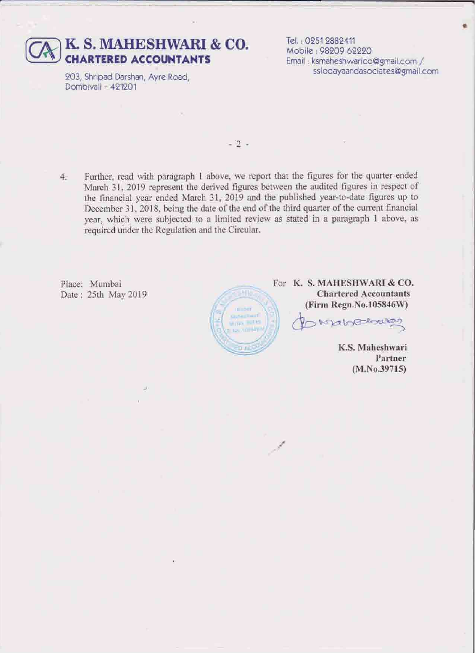

203, Shripad Darshan, Avre Road, Dombivall - 421201

Tel.: 0251 2882411 Mobile: 98209 62220 Email: ksmaheshwarico@gmail.com / sslodayaandasociates@gmail.com

 $-2-$ 

Further, read with paragraph 1 above, we report that the figures for the quarter ended 4. March 31, 2019 represent the derived figures between the audited figures in respect of the financial year ended March 31, 2019 and the published year-to-date figures up to December 31, 2018, being the date of the end of the third quarter of the current financial year, which were subjected to a limited review as stated in a paragraph 1 above, as required under the Regulation and the Circular.

Place: Mumbai Date: 25th May 2019



For K. S. MAHESHWARI & CO. **Chartered Accountants** (Firm Regn.No.105846W)

habsolower

K.S. Maheshwari Partner  $(M.No.39715)$